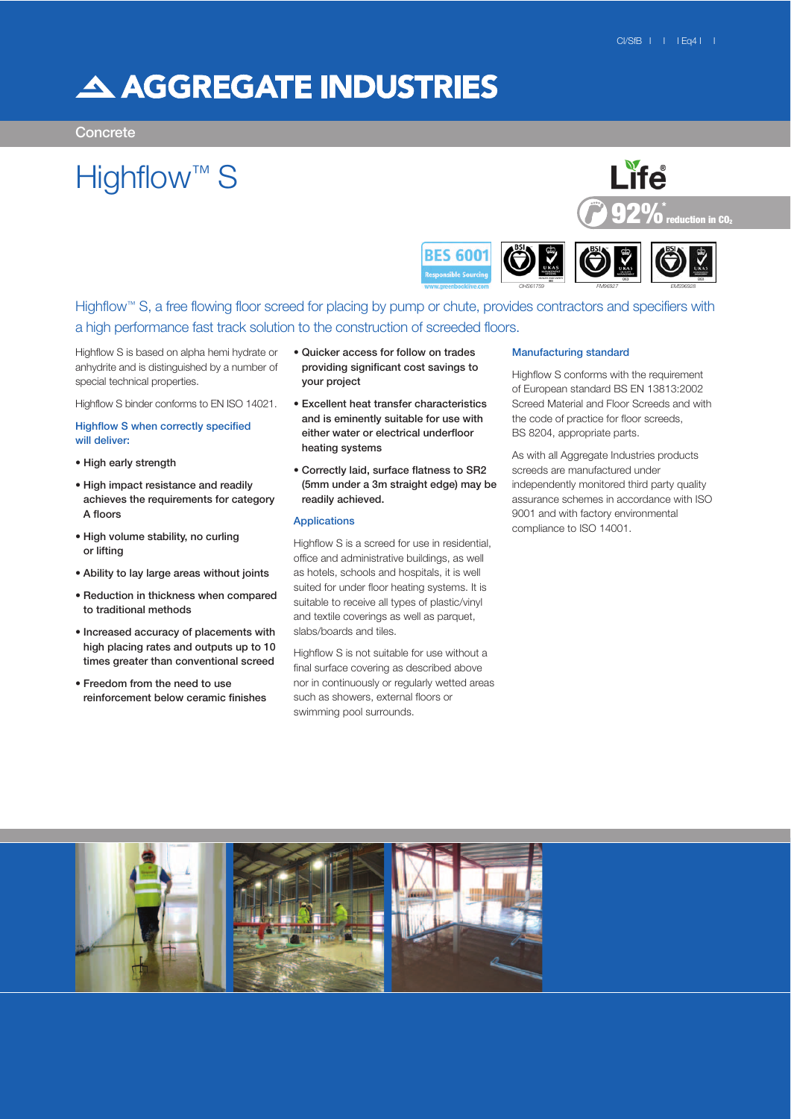## A AGGREGATE INDUSTRIES

**Concrete** 

# Highflow<sup>™</sup> S





## Highflow<sup>™</sup> S, a free flowing floor screed for placing by pump or chute, provides contractors and specifiers with a high performance fast track solution to the construction of screeded floors.

Highflow S is based on alpha hemi hydrate or anhydrite and is distinguished by a number of special technical properties.

Highflow S binder conforms to EN ISO 14021.

## Highflow S when correctly specified will deliver:

- High early strength
- High impact resistance and readily achieves the requirements for category A floors
- High volume stability, no curling or lifting
- Ability to lay large areas without joints
- Reduction in thickness when compared to traditional methods
- Increased accuracy of placements with high placing rates and outputs up to 10 times greater than conventional screed
- Freedom from the need to use reinforcement below ceramic finishes
- Quicker access for follow on trades providing significant cost savings to your project
- Excellent heat transfer characteristics and is eminently suitable for use with either water or electrical underfloor heating systems
- Correctly laid, surface flatness to SR2 (5mm under a 3m straight edge) may be readily achieved.

## Applications

Highflow S is a screed for use in residential, office and administrative buildings, as well as hotels, schools and hospitals, it is well suited for under floor heating systems. It is suitable to receive all types of plastic/vinyl and textile coverings as well as parquet, slabs/boards and tiles.

Highflow S is not suitable for use without a final surface covering as described above nor in continuously or regularly wetted areas such as showers, external floors or swimming pool surrounds.

### Manufacturing standard

Highflow S conforms with the requirement of European standard BS EN 13813:2002 Screed Material and Floor Screeds and with the code of practice for floor screeds, BS 8204, appropriate parts.

As with all Aggregate Industries products screeds are manufactured under independently monitored third party quality assurance schemes in accordance with ISO 9001 and with factory environmental compliance to ISO 14001.

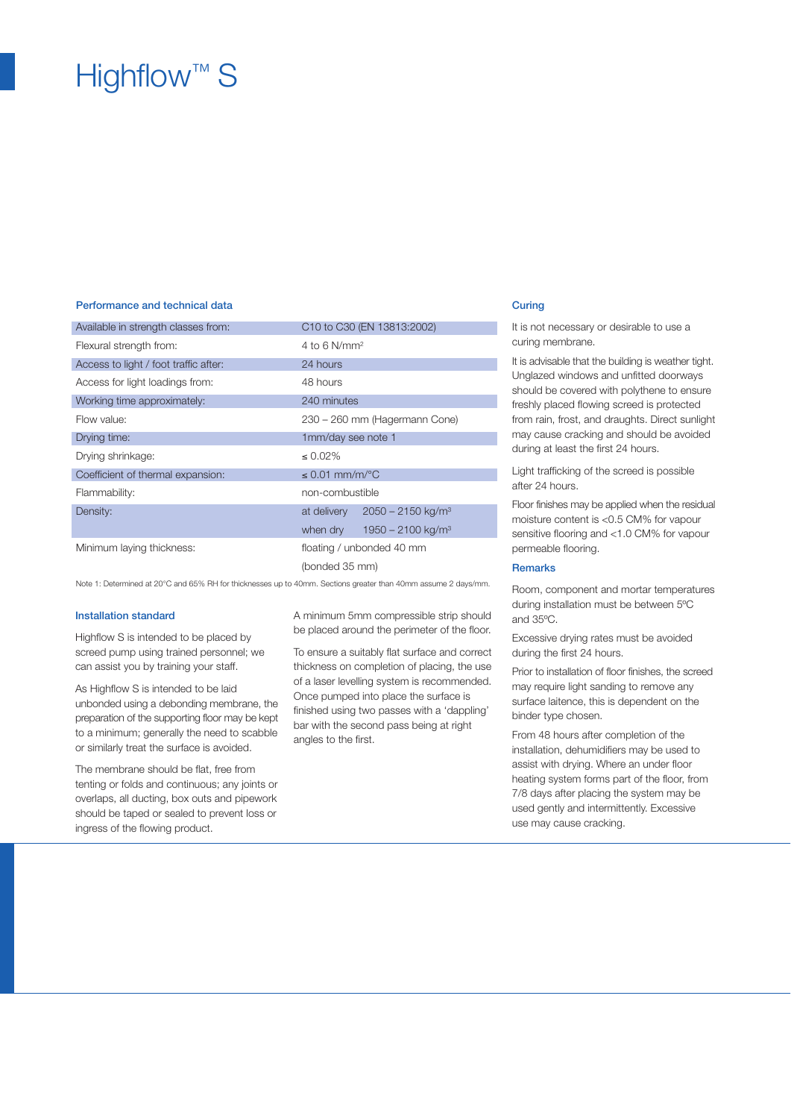## Highflow<sup>™</sup> S

## Performance and technical data Curing Curing Curing Curing Curing Curing Curing Curing Curing Curing Curing Curing Curing Curing Curing Curing Curing Curing Curing Curing Curing Curing Curing Curing Curing Curing Curing Cu

| Available in strength classes from:   | C10 to C30 (EN 13813:2002)                     |
|---------------------------------------|------------------------------------------------|
| Flexural strength from:               | 4 to 6 $N/mm^2$                                |
| Access to light / foot traffic after: | 24 hours                                       |
| Access for light loadings from:       | 48 hours                                       |
| Working time approximately:           | 240 minutes                                    |
| Flow value:                           | 230 - 260 mm (Hagermann Cone)                  |
| Drying time:                          | 1mm/day see note 1                             |
| Drying shrinkage:                     | $\leq 0.02\%$                                  |
| Coefficient of thermal expansion:     | $\leq$ 0.01 mm/m/°C                            |
| Flammability:                         | non-combustible                                |
| Density:                              | $2050 - 2150$ kg/m <sup>3</sup><br>at delivery |
|                                       | $1950 - 2100$ kg/m <sup>3</sup><br>when dry    |
| Minimum laying thickness:             | floating / unbonded 40 mm                      |
|                                       | (bonded 35 mm)                                 |

Note 1: Determined at 20°C and 65% RH for thicknesses up to 40mm. Sections greater than 40mm assume 2 days/mm.

## Installation standard

Highflow S is intended to be placed by screed pump using trained personnel; we can assist you by training your staff.

As Highflow S is intended to be laid unbonded using a debonding membrane, the preparation of the supporting floor may be kept to a minimum; generally the need to scabble or similarly treat the surface is avoided.

The membrane should be flat, free from tenting or folds and continuous; any joints or overlaps, all ducting, box outs and pipework should be taped or sealed to prevent loss or ingress of the flowing product.

A minimum 5mm compressible strip should be placed around the perimeter of the floor.

To ensure a suitably flat surface and correct thickness on completion of placing, the use of a laser levelling system is recommended. Once pumped into place the surface is finished using two passes with a 'dappling' bar with the second pass being at right angles to the first.

It is not necessary or desirable to use a curing membrane.

It is advisable that the building is weather tight. Unglazed windows and unfitted doorways should be covered with polythene to ensure freshly placed flowing screed is protected from rain, frost, and draughts. Direct sunlight may cause cracking and should be avoided during at least the first 24 hours.

Light trafficking of the screed is possible after 24 hours.

Floor finishes may be applied when the residual moisture content is <0.5 CM% for vapour sensitive flooring and <1.0 CM% for vapour permeable flooring.

## Remarks

Room, component and mortar temperatures during installation must be between 5ºC and 35ºC.

Excessive drying rates must be avoided during the first 24 hours.

Prior to installation of floor finishes, the screed may require light sanding to remove any surface laitence, this is dependent on the binder type chosen.

From 48 hours after completion of the installation, dehumidifiers may be used to assist with drying. Where an under floor heating system forms part of the floor, from 7/8 days after placing the system may be used gently and intermittently. Excessive use may cause cracking.